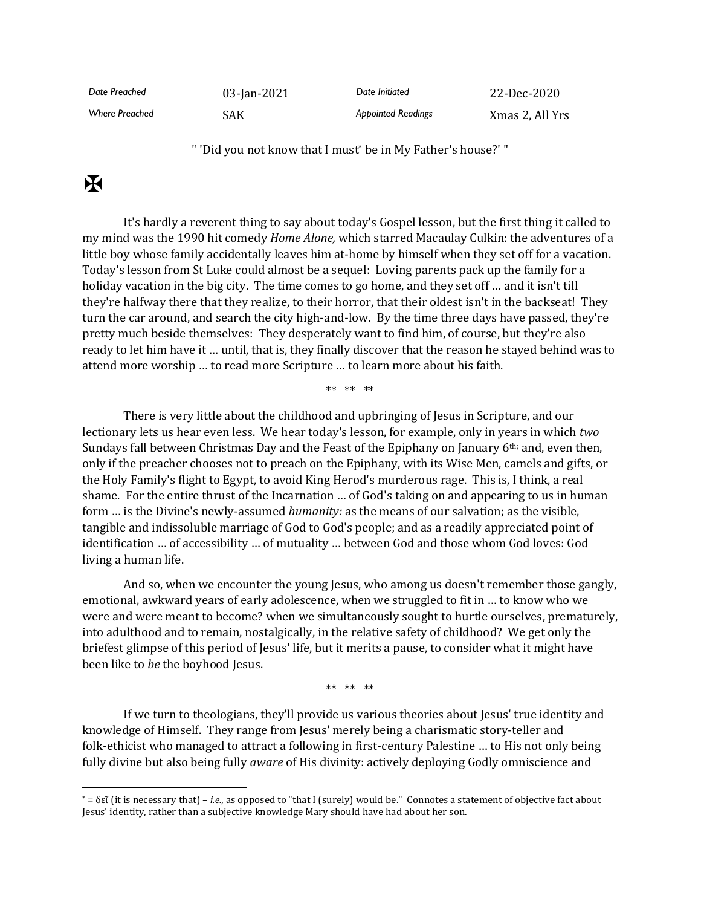| Date Preached         | 03-Jan-2021 | Date Initiated            | 22-Dec-2020     |
|-----------------------|-------------|---------------------------|-----------------|
| <b>Where Preached</b> | SAK         | <b>Appointed Readings</b> | Xmas 2, All Yrs |

" 'Did you not know that I must\* be in My Father's house?' "

## $\mathbf K$

It's hardly a reverent thing to say about today's Gospel lesson, but the first thing it called to my mind was the 1990 hit comedy *Home Alone,* which starred Macaulay Culkin: the adventures of a little boy whose family accidentally leaves him at-home by himself when they set off for a vacation. Today's lesson from St Luke could almost be a sequel: Loving parents pack up the family for a holiday vacation in the big city. The time comes to go home, and they set off … and it isn't till they're halfway there that they realize, to their horror, that their oldest isn't in the backseat! They turn the car around, and search the city high-and-low. By the time three days have passed, they're pretty much beside themselves: They desperately want to find him, of course, but they're also ready to let him have it … until, that is, they finally discover that the reason he stayed behind was to attend more worship … to read more Scripture … to learn more about his faith.

\*\* \*\* \*\*

There is very little about the childhood and upbringing of Jesus in Scripture, and our lectionary lets us hear even less. We hear today's lesson, for example, only in years in which *two* Sundays fall between Christmas Day and the Feast of the Epiphany on January 6th; and, even then, only if the preacher chooses not to preach on the Epiphany, with its Wise Men, camels and gifts, or the Holy Family's flight to Egypt, to avoid King Herod's murderous rage. This is, I think, a real shame. For the entire thrust of the Incarnation … of God's taking on and appearing to us in human form … is the Divine's newly-assumed *humanity:* as the means of our salvation; as the visible, tangible and indissoluble marriage of God to God's people; and as a readily appreciated point of identification … of accessibility … of mutuality … between God and those whom God loves: God living a human life.

And so, when we encounter the young Jesus, who among us doesn't remember those gangly, emotional, awkward years of early adolescence, when we struggled to fit in … to know who we were and were meant to become? when we simultaneously sought to hurtle ourselves, prematurely, into adulthood and to remain, nostalgically, in the relative safety of childhood? We get only the briefest glimpse of this period of Jesus' life, but it merits a pause, to consider what it might have been like to *be* the boyhood Jesus.

\*\* \*\* \*\*

If we turn to theologians, they'll provide us various theories about Jesus' true identity and knowledge of Himself. They range from Jesus' merely being a charismatic story-teller and folk-ethicist who managed to attract a following in first-century Palestine … to His not only being fully divine but also being fully *aware* of His divinity: actively deploying Godly omniscience and

<sup>\*</sup> = δεῖ (it is necessary that) – *i.e.,* as opposed to "that I (surely) would be." Connotes a statement of objective fact about Jesus' identity, rather than a subjective knowledge Mary should have had about her son.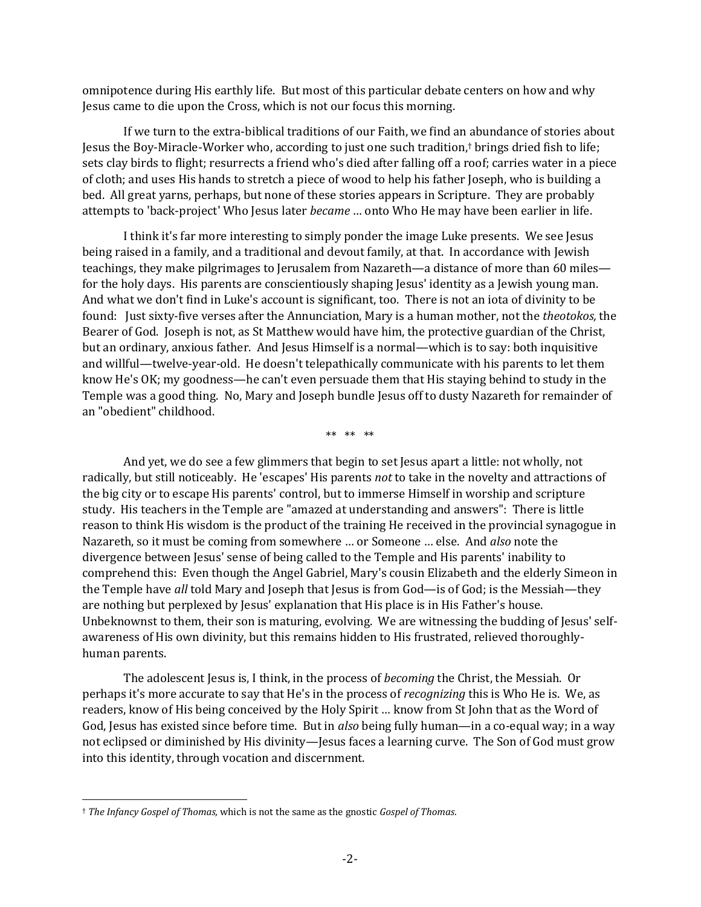omnipotence during His earthly life. But most of this particular debate centers on how and why Jesus came to die upon the Cross, which is not our focus this morning.

If we turn to the extra-biblical traditions of our Faith, we find an abundance of stories about Jesus the Boy-Miracle-Worker who, according to just one such tradition,† brings dried fish to life; sets clay birds to flight; resurrects a friend who's died after falling off a roof; carries water in a piece of cloth; and uses His hands to stretch a piece of wood to help his father Joseph, who is building a bed. All great yarns, perhaps, but none of these stories appears in Scripture. They are probably attempts to 'back-project' Who Jesus later *became* … onto Who He may have been earlier in life.

I think it's far more interesting to simply ponder the image Luke presents. We see Jesus being raised in a family, and a traditional and devout family, at that. In accordance with Jewish teachings, they make pilgrimages to Jerusalem from Nazareth—a distance of more than 60 miles for the holy days. His parents are conscientiously shaping Jesus' identity as a Jewish young man. And what we don't find in Luke's account is significant, too. There is not an iota of divinity to be found: Just sixty-five verses after the Annunciation, Mary is a human mother, not the *theotokos,* the Bearer of God. Joseph is not, as St Matthew would have him, the protective guardian of the Christ, but an ordinary, anxious father. And Jesus Himself is a normal—which is to say: both inquisitive and willful—twelve-year-old. He doesn't telepathically communicate with his parents to let them know He's OK; my goodness—he can't even persuade them that His staying behind to study in the Temple was a good thing. No, Mary and Joseph bundle Jesus off to dusty Nazareth for remainder of an "obedient" childhood.

\*\* \*\* \*\*

And yet, we do see a few glimmers that begin to set Jesus apart a little: not wholly, not radically, but still noticeably. He 'escapes' His parents *not* to take in the novelty and attractions of the big city or to escape His parents' control, but to immerse Himself in worship and scripture study. His teachers in the Temple are "amazed at understanding and answers": There is little reason to think His wisdom is the product of the training He received in the provincial synagogue in Nazareth, so it must be coming from somewhere … or Someone … else. And *also* note the divergence between Jesus' sense of being called to the Temple and His parents' inability to comprehend this: Even though the Angel Gabriel, Mary's cousin Elizabeth and the elderly Simeon in the Temple have *all* told Mary and Joseph that Jesus is from God—is of God; is the Messiah—they are nothing but perplexed by Jesus' explanation that His place is in His Father's house. Unbeknownst to them, their son is maturing, evolving. We are witnessing the budding of Jesus' selfawareness of His own divinity, but this remains hidden to His frustrated, relieved thoroughlyhuman parents.

The adolescent Jesus is, I think, in the process of *becoming* the Christ, the Messiah. Or perhaps it's more accurate to say that He's in the process of *recognizing* this is Who He is. We, as readers, know of His being conceived by the Holy Spirit … know from St John that as the Word of God, Jesus has existed since before time. But in *also* being fully human—in a co-equal way; in a way not eclipsed or diminished by His divinity—Jesus faces a learning curve. The Son of God must grow into this identity, through vocation and discernment.

<sup>†</sup> *The Infancy Gospel of Thomas,* which is not the same as the gnostic *Gospel of Thomas*.